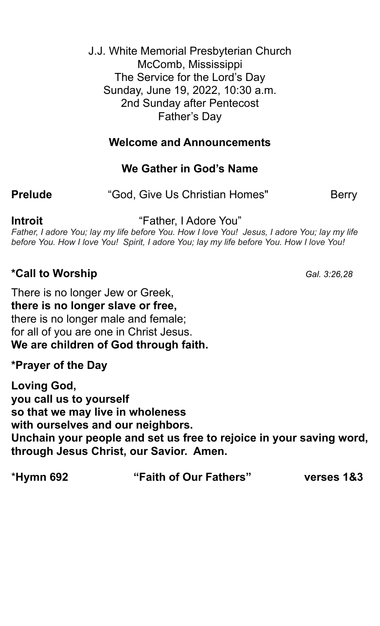J.J. White Memorial Presbyterian Church McComb, Mississippi The Service for the Lord's Day Sunday, June 19, 2022, 10:30 a.m. 2nd Sunday after Pentecost Father's Day

## **Welcome and Announcements**

# **We Gather in God's Name**

**Prelude • The "God, Give Us Christian Homes" Berry** 

**Introit** "Father, I Adore You"

*Father, I adore You; lay my life before You. How I love You! Jesus, I adore You; lay my life before You. How I love You! Spirit, I adore You; lay my life before You. How I love You!*

## **\*Call to Worship** *Gal. 3:26,28*

There is no longer Jew or Greek, **there is no longer slave or free,** there is no longer male and female; for all of you are one in Christ Jesus. **We are children of God through faith.** 

### **\*Prayer of the Day**

**Loving God, you call us to yourself so that we may live in wholeness with ourselves and our neighbors. Unchain your people and set us free to rejoice in your saving word, through Jesus Christ, our Savior. Amen.** 

| <b>*Hymn 692</b> | "Faith of Our Fathers" | verses 1&3 |
|------------------|------------------------|------------|
|------------------|------------------------|------------|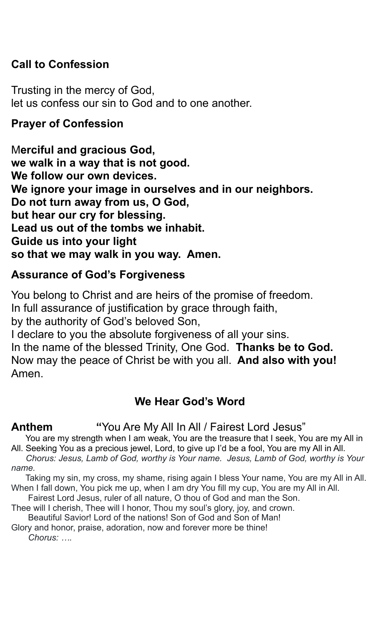# **Call to Confession**

Trusting in the mercy of God, let us confess our sin to God and to one another.

## **Prayer of Confession**

M**erciful and gracious God, we walk in a way that is not good. We follow our own devices. We ignore your image in ourselves and in our neighbors. Do not turn away from us, O God, but hear our cry for blessing. Lead us out of the tombs we inhabit. Guide us into your light so that we may walk in you way. Amen.**

#### **Assurance of God's Forgiveness**

You belong to Christ and are heirs of the promise of freedom. In full assurance of justification by grace through faith,

by the authority of God's beloved Son,

I declare to you the absolute forgiveness of all your sins.

In the name of the blessed Trinity, One God. **Thanks be to God.** Now may the peace of Christ be with you all. **And also with you!** Amen.

### **We Hear God's Word**

**Anthem "**You Are My All In All / Fairest Lord Jesus"

You are my strength when I am weak, You are the treasure that I seek, You are my All in All. Seeking You as a precious jewel, Lord, to give up I'd be a fool, You are my All in All.

 *Chorus: Jesus, Lamb of God, worthy is Your name. Jesus, Lamb of God, worthy is Your name.*

 Taking my sin, my cross, my shame, rising again I bless Your name, You are my All in All. When I fall down, You pick me up, when I am dry You fill my cup, You are my All in All.

Fairest Lord Jesus, ruler of all nature, O thou of God and man the Son.

Thee will I cherish, Thee will I honor, Thou my soul's glory, joy, and crown. Beautiful Savior! Lord of the nations! Son of God and Son of Man!

Glory and honor, praise, adoration, now and forever more be thine!

 *Chorus: ….*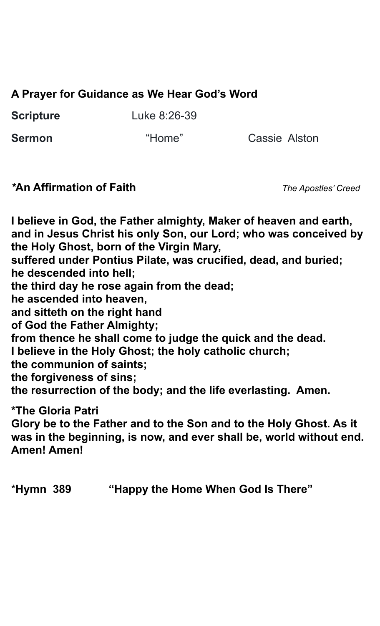# **A Prayer for Guidance as We Hear God's Word**

**Scripture Luke 8:26-39** 

**Sermon** "Home" Cassie Alston

### *\****An Affirmation of Faith** *The Apostles' Creed*

**I believe in God, the Father almighty, Maker of heaven and earth, and in Jesus Christ his only Son, our Lord; who was conceived by the Holy Ghost, born of the Virgin Mary, suffered under Pontius Pilate, was crucified, dead, and buried; he descended into hell; the third day he rose again from the dead; he ascended into heaven, and sitteth on the right hand of God the Father Almighty; from thence he shall come to judge the quick and the dead. I believe in the Holy Ghost; the holy catholic church; the communion of saints; the forgiveness of sins; the resurrection of the body; and the life everlasting. Amen. \*The Gloria Patri Glory be to the Father and to the Son and to the Holy Ghost. As it was in the beginning, is now, and ever shall be, world without end.** 

**Amen! Amen!** 

\***Hymn 389 "Happy the Home When God Is There"**